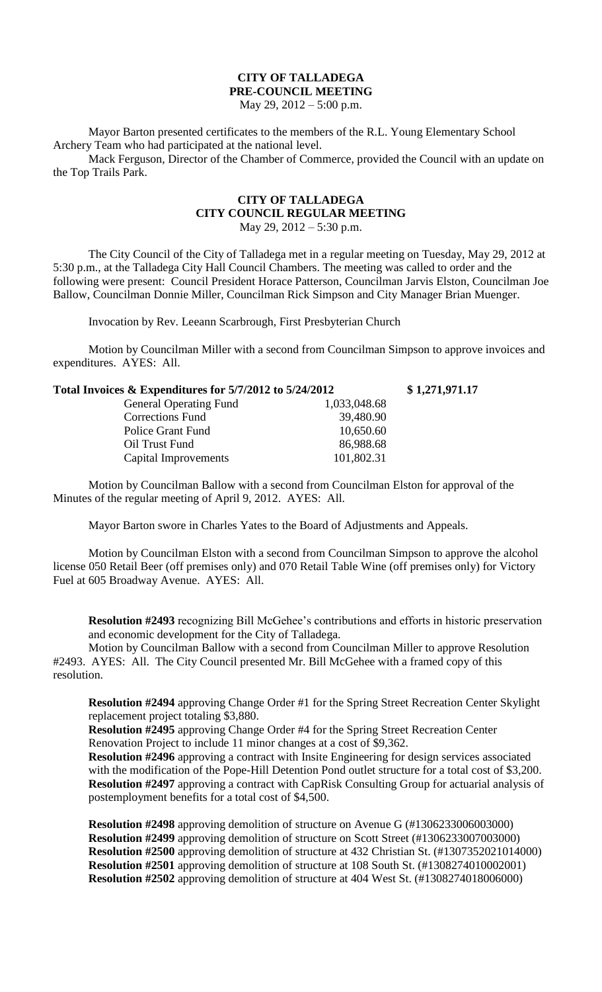## **CITY OF TALLADEGA PRE-COUNCIL MEETING**

May 29, 2012 – 5:00 p.m.

Mayor Barton presented certificates to the members of the R.L. Young Elementary School Archery Team who had participated at the national level.

Mack Ferguson, Director of the Chamber of Commerce, provided the Council with an update on the Top Trails Park.

## **CITY OF TALLADEGA CITY COUNCIL REGULAR MEETING** May 29, 2012 – 5:30 p.m.

The City Council of the City of Talladega met in a regular meeting on Tuesday, May 29, 2012 at 5:30 p.m., at the Talladega City Hall Council Chambers. The meeting was called to order and the following were present: Council President Horace Patterson, Councilman Jarvis Elston, Councilman Joe Ballow, Councilman Donnie Miller, Councilman Rick Simpson and City Manager Brian Muenger.

Invocation by Rev. Leeann Scarbrough, First Presbyterian Church

Motion by Councilman Miller with a second from Councilman Simpson to approve invoices and expenditures. AYES: All.

| Total Invoices & Expenditures for 5/7/2012 to 5/24/2012 |              | \$1,271,971.17 |
|---------------------------------------------------------|--------------|----------------|
| <b>General Operating Fund</b>                           | 1,033,048.68 |                |
| <b>Corrections Fund</b>                                 | 39,480.90    |                |
| Police Grant Fund                                       | 10,650.60    |                |
| Oil Trust Fund                                          | 86,988.68    |                |
| Capital Improvements                                    | 101,802.31   |                |
|                                                         |              |                |

Motion by Councilman Ballow with a second from Councilman Elston for approval of the Minutes of the regular meeting of April 9, 2012. AYES: All.

Mayor Barton swore in Charles Yates to the Board of Adjustments and Appeals.

Motion by Councilman Elston with a second from Councilman Simpson to approve the alcohol license 050 Retail Beer (off premises only) and 070 Retail Table Wine (off premises only) for Victory Fuel at 605 Broadway Avenue. AYES: All.

**Resolution #2493** recognizing Bill McGehee's contributions and efforts in historic preservation and economic development for the City of Talladega.

Motion by Councilman Ballow with a second from Councilman Miller to approve Resolution #2493. AYES: All. The City Council presented Mr. Bill McGehee with a framed copy of this resolution.

**Resolution #2494** approving Change Order #1 for the Spring Street Recreation Center Skylight replacement project totaling \$3,880.

**Resolution #2495** approving Change Order #4 for the Spring Street Recreation Center Renovation Project to include 11 minor changes at a cost of \$9,362.

**Resolution #2496** approving a contract with Insite Engineering for design services associated with the modification of the Pope-Hill Detention Pond outlet structure for a total cost of \$3,200. **Resolution #2497** approving a contract with CapRisk Consulting Group for actuarial analysis of postemployment benefits for a total cost of \$4,500.

**Resolution #2498** approving demolition of structure on Avenue G (#1306233006003000) **Resolution #2499** approving demolition of structure on Scott Street (#1306233007003000) **Resolution #2500** approving demolition of structure at 432 Christian St. (#1307352021014000) **Resolution #2501** approving demolition of structure at 108 South St. (#1308274010002001) **Resolution #2502** approving demolition of structure at 404 West St. (#1308274018006000)